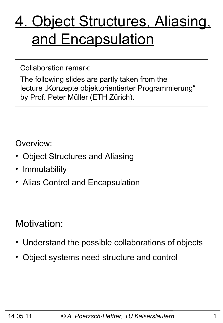# 4. Object Structures, Aliasing, and Encapsulation

#### Collaboration remark:

The following slides are partly taken from the lecture "Konzepte objektorientierter Programmierung" by Prof. Peter Müller (ETH Zürich).

#### Overview:

- Object Structures and Aliasing
- Immutability
- Alias Control and Encapsulation

### Motivation:

- Understand the possible collaborations of objects
- Object systems need structure and control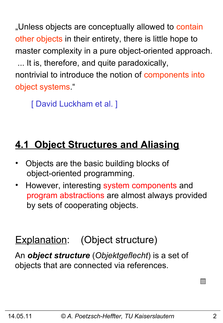"Unless objects are conceptually allowed to contain other objects in their entirety, there is little hope to master complexity in a pure object-oriented approach. ... It is, therefore, and quite paradoxically, nontrivial to introduce the notion of components into object systems."

[ David Luckham et al. ]

# **4.1 Object Structures and Aliasing**

- Objects are the basic building blocks of object-oriented programming.
- However, interesting system components and program abstractions are almost always provided by sets of cooperating objects.

### Explanation: (Object structure)

An *object structure* (*Objektgeflecht*) is a set of objects that are connected via references.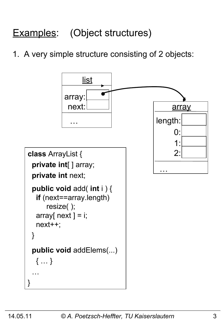# Examples: (Object structures)

1. A very simple structure consisting of 2 objects:

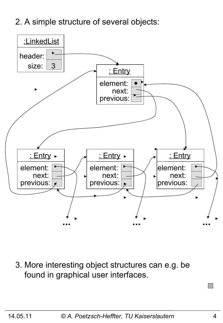2. A simple structure of several objects:



3. More interesting object structures can e.g. be found in graphical user interfaces.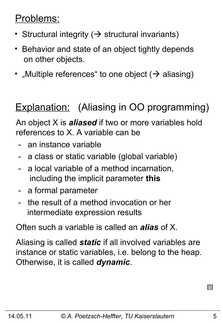### Problems:

- Structural integrity ( $\rightarrow$  structural invariants)
- Behavior and state of an object tightly depends on other objects.
- "Multiple references" to one object  $($   $\rightarrow$  aliasing)

# Explanation: (Aliasing in OO programming)

An object X is *aliased* if two or more variables hold references to X. A variable can be

- an instance variable
- a class or static variable (global variable)
- a local variable of a method incarnation, including the implicit parameter **this**
- a formal parameter
- the result of a method invocation or her intermediate expression results

Often such a variable is called an *alias* of X.

Aliasing is called *static* if all involved variables are instance or static variables, i.e. belong to the heap. Otherwise, it is called *dynamic*.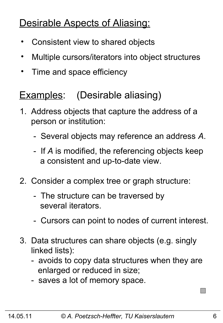# Desirable Aspects of Aliasing:

- Consistent view to shared objects
- Multiple cursors/iterators into object structures
- Time and space efficiency

### Examples: (Desirable aliasing)

- 1. Address objects that capture the address of a person or institution:
	- Several objects may reference an address *A*.
	- If *A* is modified, the referencing objects keep a consistent and up-to-date view.
- 2. Consider a complex tree or graph structure:
	- The structure can be traversed by several iterators.
	- Cursors can point to nodes of current interest.
- 3. Data structures can share objects (e.g. singly linked lists):
	- avoids to copy data structures when they are enlarged or reduced in size;
	- saves a lot of memory space.

 $\Box$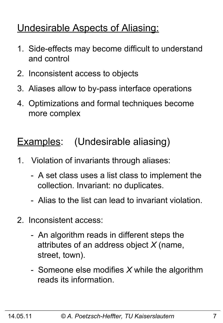### Undesirable Aspects of Aliasing:

- 1. Side-effects may become difficult to understand and control
- 2. Inconsistent access to objects
- 3. Aliases allow to by-pass interface operations
- 4. Optimizations and formal techniques become more complex

# Examples: (Undesirable aliasing)

- 1. Violation of invariants through aliases:
	- A set class uses a list class to implement the collection. Invariant: no duplicates.
	- Alias to the list can lead to invariant violation.
- 2. Inconsistent access:
	- An algorithm reads in different steps the attributes of an address object *X* (name, street, town).
	- Someone else modifies *X* while the algorithm reads its information.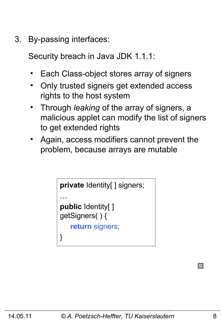3. By-passing interfaces:

Security breach in Java JDK 1.1.1:

- Each Class-object stores array of signers
- Only trusted signers get extended access rights to the host system
- Through *leaking* of the array of signers, a malicious applet can modify the list of signers to get extended rights
- Again, access modifiers cannot prevent the problem, because arrays are mutable

```
private Identity[ ] signers;
…
public Identity[ ] 
getSigners( ) {
    return signers;
}
```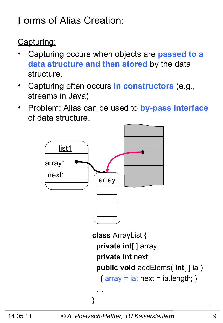# Forms of Alias Creation:

Capturing:

- Capturing occurs when objects are **passed to a data structure and then stored** by the data structure.
- Capturing often occurs **in constructors** (e.g., streams in Java).
- Problem: Alias can be used to **by-pass interface** of data structure.

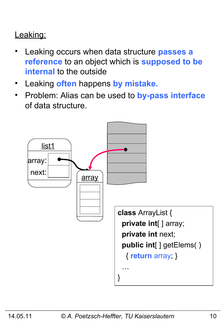#### Leaking:

- Leaking occurs when data structure **passes a reference** to an object which is **supposed to be internal** to the outside
- Leaking **often** happens **by mistake.**
- Problem: Alias can be used to **by-pass interface** of data structure.

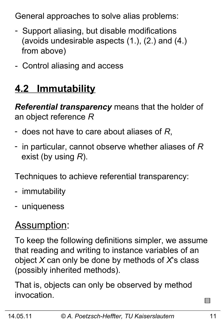General approaches to solve alias problems:

- Support aliasing, but disable modifications (avoids undesirable aspects (1.), (2.) and (4.) from above)
- Control aliasing and access

# **4.2 Immutability**

*Referential transparency* means that the holder of an object reference *R*

- does not have to care about aliases of *R*,
- in particular, cannot observe whether aliases of *R* exist (by using *R*).

Techniques to achieve referential transparency:

- immutability
- uniqueness

# Assumption:

To keep the following definitions simpler, we assume that reading and writing to instance variables of an object *X* can only be done by methods of *X*'s class (possibly inherited methods).

That is, objects can only be observed by method invocation.

 $\sim$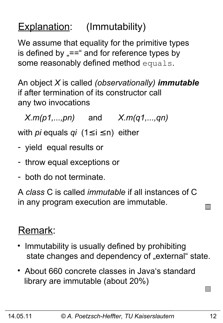# Explanation: (Immutability)

We assume that equality for the primitive types is defined by  $v = -\frac{1}{2}$  and for reference types by some reasonably defined method equals.

An object *X* is called *(observationally) immutable* if after termination of its constructor call any two invocations

*X.m(p1,...,pn)* and *X.m(q1,...,qn)*

with *pi* equals *qi* (1≤ i ≤ n) either

- yield equal results or
- throw equal exceptions or
- both do not terminate.

A *class* C is called *immutable* if all instances of C in any program execution are immutable.

### Remark:

- Immutability is usually defined by prohibiting state changes and dependency of "external" state.
- About 660 concrete classes in Java's standard library are immutable (about 20%)

 $\Box$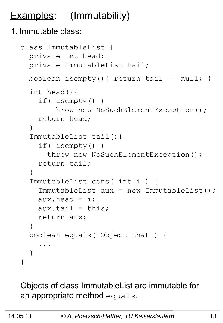# **Examples:** (Immutability)

#### 1. Immutable class:

```
class ImmutableList {
   private int head;
   private ImmutableList tail;
  boolean isempty(){ return tail == null; }
   int head(){
     if( isempty() )
       throw new NoSuchElementException();
     return head;
   }
   ImmutableList tail(){
     if( isempty() )
      throw new NoSuchElementException();
     return tail;
   }
   ImmutableList cons( int i ) {
     ImmutableList aux = new ImmutableList();
    aux.head = i;
    aux.tail = this; return aux;
   } 
   boolean equals( Object that ) {
 ...
   }
}
```
Objects of class ImmutableList are immutable for an appropriate method equals.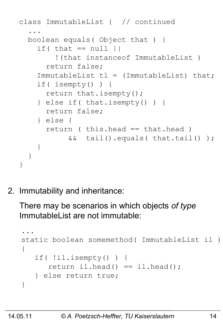```
class ImmutableList { // continued
 ...
  boolean equals( Object that ) {
    if( that == null |) !(that instanceof ImmutableList )
       return false;
    ImmutableList tl = (ImmutableList) that; if( isempty() ) {
       return that.isempty();
     } else if( that.isempty() ) {
       return false;
     } else {
       return ( this.head == that.head )
            && tail().equals( that.tail() );
 } 
   }
}
```
2. Immutability and inheritance:

There may be scenarios in which objects *of type* ImmutableList are not immutable:

```
...
static boolean somemethod( ImmutableList il )
{
    if( !il.isempty() ) {
      return il.head() == il.head();
    } else return true;
}
```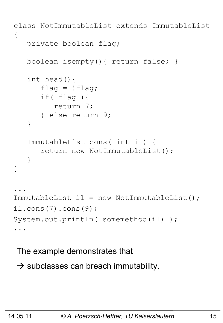```
class NotImmutableList extends ImmutableList
{
    private boolean flag;
    boolean isempty(){ return false; }
    int head(){
      flag = !flag; if( flag ){
          return 7;
       } else return 9;
    }
    ImmutableList cons( int i ) {
       return new NotImmutableList();
    }
}
...
ImmutableList il = new NotImmutableList();
il.cons(7).cons(9);
System.out.println( somemethod(il) );
...
```
The example demonstrates that

 $\rightarrow$  subclasses can breach immutability.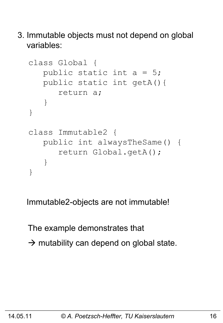3. Immutable objects must not depend on global variables:

```
class Global {
    public static int a = 5;
    public static int getA(){ 
       return a;
    }
}
class Immutable2 {
    public int alwaysTheSame() {
        return Global.getA();
    }
}
```
Immutable2-objects are not immutable!

The example demonstrates that  $\rightarrow$  mutability can depend on global state.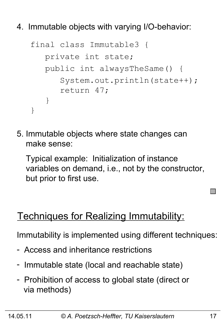4. Immutable objects with varying I/O-behavior:

```
final class Immutable3 {
    private int state;
    public int alwaysTheSame() {
       System.out.println(state++);
       return 47;
    }
}
```
5. Immutable objects where state changes can make sense:

 Typical example: Initialization of instance variables on demand, i.e., not by the constructor, but prior to first use.

### Techniques for Realizing Immutability:

Immutability is implemented using different techniques:

- Access and inheritance restrictions
- Immutable state (local and reachable state)
- Prohibition of access to global state (direct or via methods)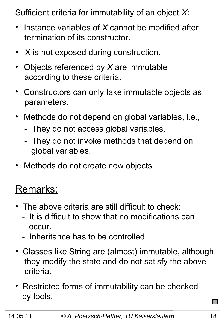Sufficient criteria for immutability of an object *X*:

- Instance variables of *X* cannot be modified after termination of its constructor.
- $\bullet$ X is not exposed during construction.
- Objects referenced by *X* are immutable according to these criteria.
- Constructors can only take immutable objects as parameters.
- Methods do not depend on global variables, i.e.,
	- They do not access global variables.
	- They do not invoke methods that depend on global variables.
- Methods do not create new objects.

### Remarks:

- The above criteria are still difficult to check:
	- It is difficult to show that no modifications can occur.
	- Inheritance has to be controlled.
- Classes like String are (almost) immutable, although they modify the state and do not satisfy the above criteria.
- Restricted forms of immutability can be checked by tools.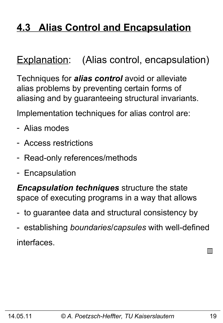## **4.3 Alias Control and Encapsulation**

### Explanation: (Alias control, encapsulation)

Techniques for *alias control* avoid or alleviate alias problems by preventing certain forms of aliasing and by guaranteeing structural invariants.

Implementation techniques for alias control are:

- Alias modes
- Access restrictions
- Read-only references/methods
- Encapsulation

*Encapsulation techniques* structure the state space of executing programs in a way that allows

- to guarantee data and structural consistency by
- establishing *boundaries*/*capsules* with well-defined interfaces.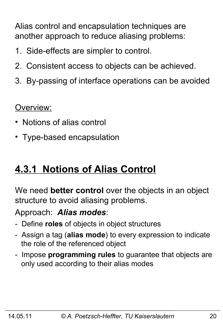Alias control and encapsulation techniques are another approach to reduce aliasing problems:

- 1. Side-effects are simpler to control.
- 2. Consistent access to objects can be achieved.
- 3. By-passing of interface operations can be avoided

Overview:

- Notions of alias control
- Type-based encapsulation

### **4.3.1 Notions of Alias Control**

We need **better control** over the objects in an object structure to avoid aliasing problems.

Approach: *Alias modes*:

- Define **roles** of objects in object structures
- Assign a tag (**alias mode**) to every expression to indicate the role of the referenced object
- Impose **programming rules** to guarantee that objects are only used according to their alias modes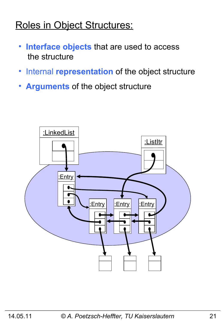### Roles in Object Structures:

- • **Interface objects** that are used to access the structure
- •Internal **representation** of the object structure
- • **Arguments** of the object structure

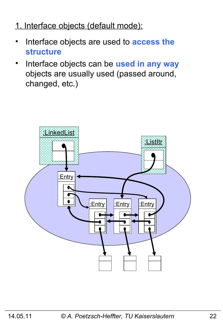#### 1. Interface objects (default mode):

- Interface objects are used to **access the structure**
- Interface objects can be **used in any way** objects are usually used (passed around, changed, etc.)

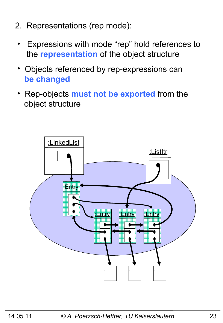- 2. Representations (rep mode):
	- Expressions with mode "rep" hold references to the **representation** of the object structure
	- Objects referenced by rep-expressions can  **be changed**
	- Rep-objects **must not be exported** from the object structure

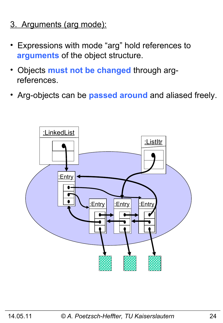- 3. Arguments (arg mode):
- Expressions with mode "arg" hold references to  **arguments** of the object structure.
- Objects **must not be changed** through arg references.
- Arg-objects can be **passed around** and aliased freely.

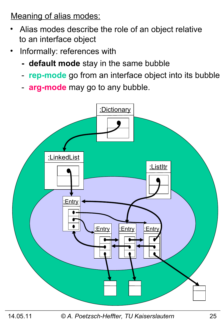Meaning of alias modes:

- Alias modes describe the role of an object relative to an interface object
- Informally: references with
	- **default mode** stay in the same bubble
	- **rep-mode** go from an interface object into its bubble
	- **arg-mode** may go to any bubble.



14.05.11 *© A. Poetzsch-Heffter, TU Kaiserslautern* 25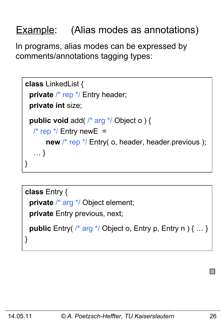# Example: (Alias modes as annotations)

In programs, alias modes can be expressed by comments/annotations tagging types:

```
class LinkedList {
 private /* rep */ Entry header;
  private int size;
  public void add( /* arg */ Object o ) { 
   \frac{1}{2} rep \frac{*}{2} Entry new E =
       new /* rep */ Entry( o, header, header.previous );
    … }
}
```

```
class Entry {
  private /* arg */ Object element;
  private Entry previous, next;
  public Entry( /* arg */ Object o, Entry p, Entry n ) { … }
}
```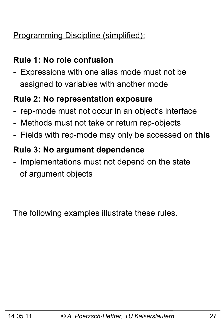#### Programming Discipline (simplified):

#### **Rule 1: No role confusion**

- Expressions with one alias mode must not be assigned to variables with another mode

#### **Rule 2: No representation exposure**

- rep-mode must not occur in an object's interface
- Methods must not take or return rep-objects
- Fields with rep-mode may only be accessed on **this**

#### **Rule 3: No argument dependence**

- Implementations must not depend on the state of argument objects

The following examples illustrate these rules.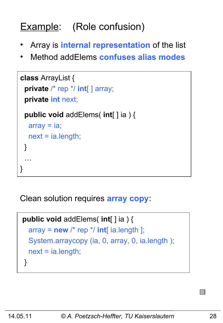# Example: (Role confusion)

- Array is **internal representation** of the list
- Method addElems **confuses alias modes**

```
class ArrayList {
  private /* rep */ int[ ] array;
  private int next;
  public void addElems( int[ ] ia ) {
  array = ia; next = ia.length;
  }
 …
}
```
Clean solution requires **array copy:** 

```
public void addElems( int[ ] ia ) {
  array = new /* rep */ int[i] ia.length ];
   System.arraycopy (ia, 0, array, 0, ia.length );
   next = ia.length;
 }
```
I II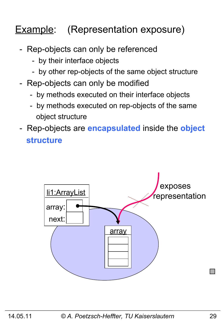# **Example:** (Representation exposure)

- Rep-objects can only be referenced
	- by their interface objects
	- by other rep-objects of the same object structure
- Rep-objects can only be modified
	- by methods executed on their interface objects
	- by methods executed on rep-objects of the same object structure
- Rep-objects are **encapsulated** inside the **object structure**

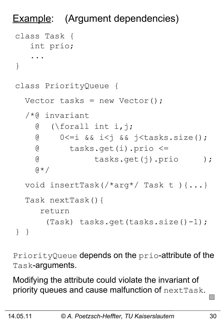```
Example: (Argument dependencies)
class Task {
    int prio;
     ...
}
class PriorityQueue {
  Vector tasks = new Vector();
   /*@ invariant 
     @ (\forall int i,j; 
     @ 0<=i && i<j && j<tasks.size();
     @ tasks.get(i).prio <= 
     @ tasks.get(j).prio );
    \theta \star / void insertTask(/*arg*/ Task t ){...}
   Task nextTask(){
      return 
        (Task) tasks.get(tasks.size()-1);
} }
```
PriorityQueue depends on the prio-attribute of the Task-arguments.

Modifying the attribute could violate the invariant of priority queues and cause malfunction of nextTask.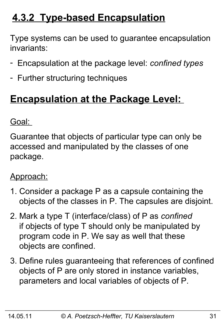# **4.3.2 Type-based Encapsulation**

Type systems can be used to guarantee encapsulation invariants:

- Encapsulation at the package level: *confined types*
- Further structuring techniques

### **Encapsulation at the Package Level:**

Goal:

Guarantee that objects of particular type can only be accessed and manipulated by the classes of one package.

#### Approach:

- 1. Consider a package P as a capsule containing the objects of the classes in P. The capsules are disjoint.
- 2. Mark a type T (interface/class) of P as *confined*  if objects of type T should only be manipulated by program code in P. We say as well that these objects are confined.
- 3. Define rules guaranteeing that references of confined objects of P are only stored in instance variables, parameters and local variables of objects of P.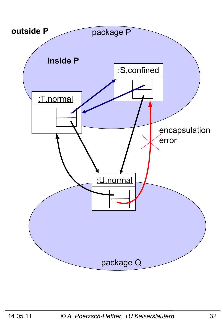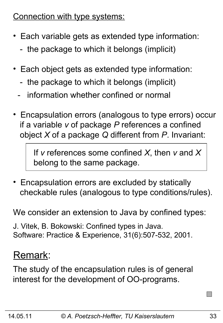Connection with type systems:

- Each variable gets as extended type information:
	- the package to which it belongs (implicit)
- Each object gets as extended type information:
	- the package to which it belongs (implicit)
	- information whether confined or normal
- Encapsulation errors (analogous to type errors) occur if a variable *v* of package *P* references a confined object *X* of a package *Q* different from *P*. Invariant:

 If *v* references some confined *X*, then *v* and *X* belong to the same package.

• Encapsulation errors are excluded by statically checkable rules (analogous to type conditions/rules).

We consider an extension to Java by confined types:

J. Vitek, B. Bokowski: Confined types in Java. Software: Practice & Experience, 31(6):507-532, 2001.

### Remark:

The study of the encapsulation rules is of general interest for the development of OO-programs.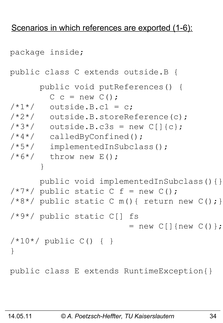#### Scenarios in which references are exported (1-6):

```
package inside;
public class C extends outside.B {
       public void putReferences() {
        C c = new C();
/ * 1*/ outside. B.c1 = c;
/*2*/ outside.B.storeReference(c);
/*3*/ outside.B.c3s = new C[]{c};
/*4*/ calledByConfined();
/*5*/ implementedInSubclass();
/ * 6*/ throw new E();
 }
       public void implementedInSubclass(){}
/ * 7 * / public static C f = new C();
/*8*/ public static C m(){ return new C(); }
/*9*/ public static C[] fs 
                        = new C[] {new C() };
/*10*/ public C() { }
}
public class E extends RuntimeException{}
```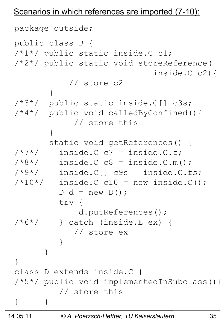#### Scenarios in which references are imported (7-10):

```
package outside;
public class B {
/*1*/ public static inside.C c1;
/*2*/ public static void storeReference(
                            inside.C c2){
            // store c2
 }
/*3*/ public static inside.C[] c3s;
/*4*/ public void calledByConfined(){
             // store this
 }
        static void getReferences() {
/ * 7*/ inside. C C = inside. C.f./*8*/ inside.C c8 = inside.C.m();
/*9*/ inside.C[] c9s = inside.C.fs;
/*10*/ inside. C C10 = new inside.C();
        D d = new D();
         try {
             d.putReferences();
/*6*/ } catch (inside.E ex) {
             // store ex
 }
 }
}
class D extends inside.C {
/*5*/ public void implementedInSubclass(){
          // store this
} }
```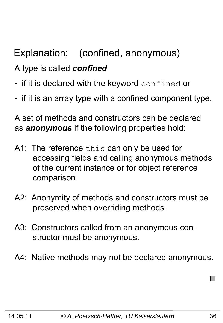# Explanation: (confined, anonymous)

#### A type is called *confined*

- if it is declared with the keyword confined or
- if it is an array type with a confined component type.

A set of methods and constructors can be declared as *anonymous* if the following properties hold:

- A1: The reference this can only be used for accessing fields and calling anonymous methods of the current instance or for object reference comparison.
- A2: Anonymity of methods and constructors must be preserved when overriding methods.
- A3: Constructors called from an anonymous con structor must be anonymous.
- A4: Native methods may not be declared anonymous.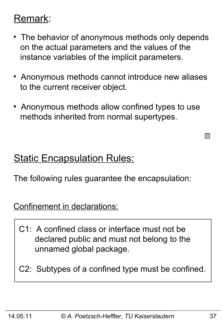### Remark:

- The behavior of anonymous methods only depends on the actual parameters and the values of the instance variables of the implicit parameters.
- Anonymous methods cannot introduce new aliases to the current receiver object.
- Anonymous methods allow confined types to use methods inherited from normal supertypes.

### **Static Encapsulation Rules:**

The following rules guarantee the encapsulation:

Confinement in declarations:

- C1: A confined class or interface must not be declared public and must not belong to the unnamed global package.
- C2: Subtypes of a confined type must be confined.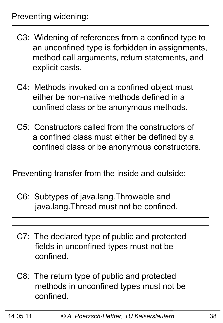- C3: Widening of references from a confined type to an unconfined type is forbidden in assignments, method call arguments, return statements, and explicit casts.
- C4: Methods invoked on a confined object must either be non-native methods defined in a confined class or be anonymous methods.
- C5: Constructors called from the constructors of a confined class must either be defined by a confined class or be anonymous constructors.

#### Preventing transfer from the inside and outside:

- C6: Subtypes of java.lang.Throwable and java.lang.Thread must not be confined.
- C7: The declared type of public and protected fields in unconfined types must not be confined.
- C8: The return type of public and protected methods in unconfined types must not be confined.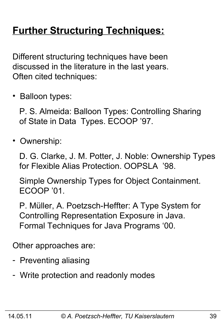# **Further Structuring Techniques:**

Different structuring techniques have been discussed in the literature in the last years. Often cited techniques:

• Balloon types:

 P. S. Almeida: Balloon Types: Controlling Sharing of State in Data Types. ECOOP '97.

• Ownership:

 D. G. Clarke, J. M. Potter, J. Noble: Ownership Types for Flexible Alias Protection. OOPSLA '98.

 Simple Ownership Types for Object Containment. ECOOP '01.

 P. Müller, A. Poetzsch-Heffter: A Type System for Controlling Representation Exposure in Java. Formal Techniques for Java Programs '00.

Other approaches are:

- Preventing aliasing
- Write protection and readonly modes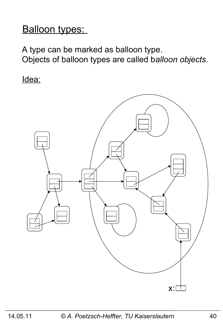### Balloon types:

A type can be marked as balloon type. Objects of balloon types are called b*alloon objects*.

Idea:

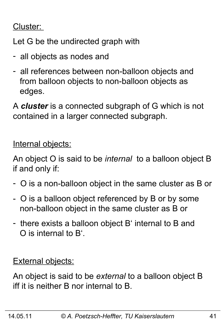#### Cluster:

Let G be the undirected graph with

- all objects as nodes and
- all references between non-balloon objects and from balloon objects to non-balloon objects as edges.

A *cluster* is a connected subgraph of G which is not contained in a larger connected subgraph.

Internal objects:

An object O is said to be *internal* to a balloon object B if and only if:

- O is a non-balloon object in the same cluster as B or
- O is a balloon object referenced by B or by some non-balloon object in the same cluster as B or
- there exists a balloon object B' internal to B and O is internal to B'.

**External objects:** 

An object is said to be *external* to a balloon object B iff it is neither B nor internal to B.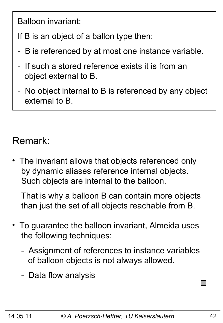Balloon invariant:

If B is an object of a ballon type then:

- B is referenced by at most one instance variable.
- If such a stored reference exists it is from an object external to B.
- No object internal to B is referenced by any object external to B.

# Remark:

The invariant allows that objects referenced only by dynamic aliases reference internal objects. Such objects are internal to the balloon.

 That is why a balloon B can contain more objects than just the set of all objects reachable from B.

- To guarantee the balloon invariant, Almeida uses the following techniques:
	- Assignment of references to instance variables of balloon objects is not always allowed.
	- Data flow analysis

**I**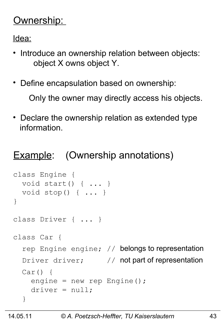### Ownership:

Idea:

- Introduce an ownership relation between objects: object X owns object Y.
- Define encapsulation based on ownership:

Only the owner may directly access his objects.

• Declare the ownership relation as extended type information.

### **Example:** (Ownership annotations)

```
class Engine { 
   void start() { ... }
   void stop() { ... }
}
class Driver { ... }
class Car {
  rep Engine engine; // belongs to representation
  Driver driver; \frac{1}{2} not part of representation
  Car() engine = new rep Engine();
    \text{driver} = \text{null};
   }
```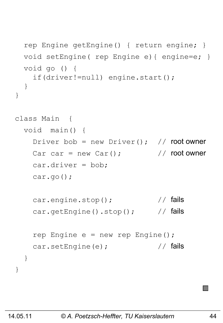```
 rep Engine getEngine() { return engine; }
   void setEngine( rep Engine e){ engine=e; }
   void go () {
     if(driver!=null) engine.start();
   }
}
class Main { 
   void main() {
    Driver bob = new Driver(); // root owner
    Car car = new Car(); \sqrt{2\pi} // root owner
     car.driver = bob;
     car.go();
    car.engine.stop(); \sqrt{7} fails
    car.getEngine().stop(); // fails
    rep Engine e = new rep Engine();
    car.setEngine(e); \frac{1}{2} // fails
   }
}
```